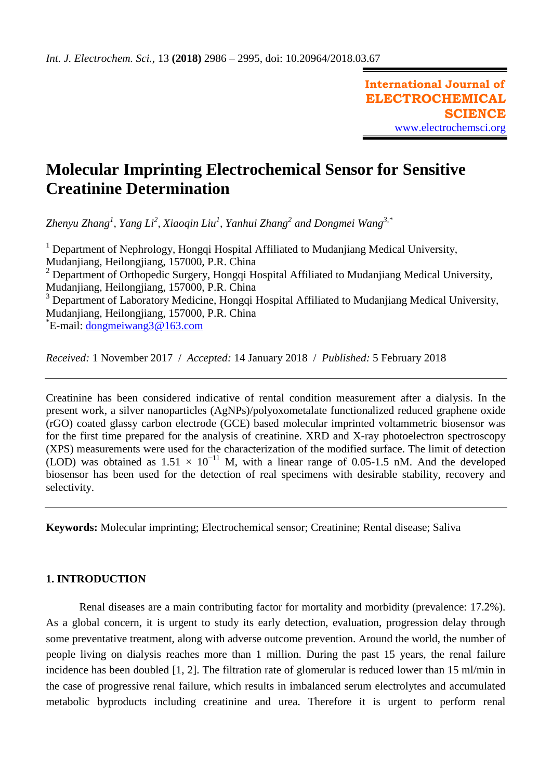# **Molecular Imprinting Electrochemical Sensor for Sensitive Creatinine Determination**

*Zhenyu Zhang<sup>1</sup> , Yang Li<sup>2</sup> , Xiaoqin Liu<sup>1</sup> , Yanhui Zhang<sup>2</sup> and Dongmei Wang3,\**

<sup>1</sup> Department of Nephrology, Hongqi Hospital Affiliated to Mudanjiang Medical University, Mudanjiang, Heilongjiang, 157000, P.R. China  $2$  Department of Orthopedic Surgery, Hongqi Hospital Affiliated to Mudanjiang Medical University, Mudanjiang, Heilongjiang, 157000, P.R. China <sup>3</sup> Department of Laboratory Medicine, Hongqi Hospital Affiliated to Mudanjiang Medical University, Mudanjiang, Heilongjiang, 157000, P.R. China \* E-mail: [dongmeiwang3@163.com](mailto:dongmeiwang3@163.com)

*Received:* 1 November 2017/ *Accepted:* 14 January 2018 / *Published:* 5 February 2018

Creatinine has been considered indicative of rental condition measurement after a dialysis. In the present work, a silver nanoparticles (AgNPs)/polyoxometalate functionalized reduced graphene oxide (rGO) coated glassy carbon electrode (GCE) based molecular imprinted voltammetric biosensor was for the first time prepared for the analysis of creatinine. XRD and X-ray photoelectron spectroscopy (XPS) measurements were used for the characterization of the modified surface. The limit of detection (LOD) was obtained as  $1.51 \times 10^{-11}$  M, with a linear range of 0.05-1.5 nM. And the developed biosensor has been used for the detection of real specimens with desirable stability, recovery and selectivity.

**Keywords:** Molecular imprinting; Electrochemical sensor; Creatinine; Rental disease; Saliva

# **1. INTRODUCTION**

Renal diseases are a main contributing factor for mortality and morbidity (prevalence: 17.2%). As a global concern, it is urgent to study its early detection, evaluation, progression delay through some preventative treatment, along with adverse outcome prevention. Around the world, the number of people living on dialysis reaches more than 1 million. During the past 15 years, the renal failure incidence has been doubled [1, 2]. The filtration rate of glomerular is reduced lower than 15 ml/min in the case of progressive renal failure, which results in imbalanced serum electrolytes and accumulated metabolic byproducts including creatinine and urea. Therefore it is urgent to perform renal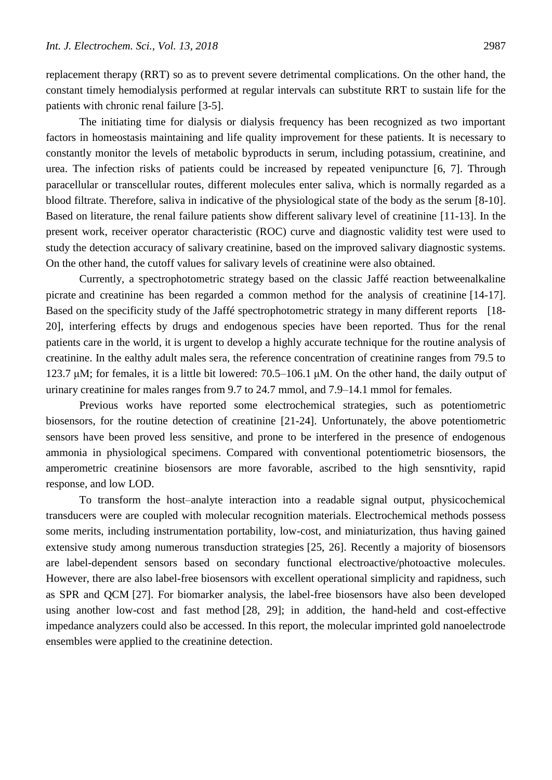replacement therapy (RRT) so as to prevent severe detrimental complications. On the other hand, the constant timely hemodialysis performed at regular intervals can substitute RRT to sustain life for the patients with chronic renal failure [3-5].

The initiating time for dialysis or dialysis frequency has been recognized as two important factors in homeostasis maintaining and life quality improvement for these patients. It is necessary to constantly monitor the levels of metabolic byproducts in serum, including potassium, creatinine, and urea. The infection risks of patients could be increased by repeated venipuncture [6, 7]. Through paracellular or transcellular routes, different molecules enter saliva, which is normally regarded as a blood filtrate. Therefore, saliva in indicative of the physiological state of the body as the serum [8-10]. Based on literature, the renal failure patients show different salivary level of creatinine [11-13]. In the present work, receiver operator characteristic (ROC) curve and diagnostic validity test were used to study the detection accuracy of salivary creatinine, based on the improved salivary diagnostic systems. On the other hand, the cutoff values for salivary levels of creatinine were also obtained.

Currently, a spectrophotometric strategy based on the classic Jaffé reaction betweenalkaline picrate and creatinine has been regarded a common method for the analysis of creatinine [14-17]. Based on the specificity study of the Jaffé spectrophotometric strategy in many different reports [18-20], interfering effects by drugs and endogenous species have been reported. Thus for the renal patients care in the world, it is urgent to develop a highly accurate technique for the routine analysis of creatinine. In the ealthy adult males sera, the reference concentration of creatinine ranges from 79.5 to 123.7 μM; for females, it is a little bit lowered: 70.5–106.1 μM. On the other hand, the daily output of urinary creatinine for males ranges from 9.7 to 24.7 mmol, and 7.9–14.1 mmol for females.

Previous works have reported some electrochemical strategies, such as potentiometric biosensors, for the routine detection of creatinine [21-24]. Unfortunately, the above potentiometric sensors have been proved less sensitive, and prone to be interfered in the presence of endogenous ammonia in physiological specimens. Compared with conventional potentiometric biosensors, the amperometric creatinine biosensors are more favorable, ascribed to the high sensntivity, rapid response, and low LOD.

To transform the host–analyte interaction into a readable signal output, physicochemical transducers were are coupled with molecular recognition materials. Electrochemical methods possess some merits, including instrumentation portability, low-cost, and miniaturization, thus having gained extensive study among numerous transduction strategies [25, 26]. Recently a majority of biosensors are label-dependent sensors based on secondary functional electroactive/photoactive molecules. However, there are also label-free biosensors with excellent operational simplicity and rapidness, such as SPR and QCM [27]. For biomarker analysis, the label-free biosensors have also been developed using another low-cost and fast method [28, 29]; in addition, the hand-held and cost-effective impedance analyzers could also be accessed. In this report, the molecular imprinted gold nanoelectrode ensembles were applied to the creatinine detection.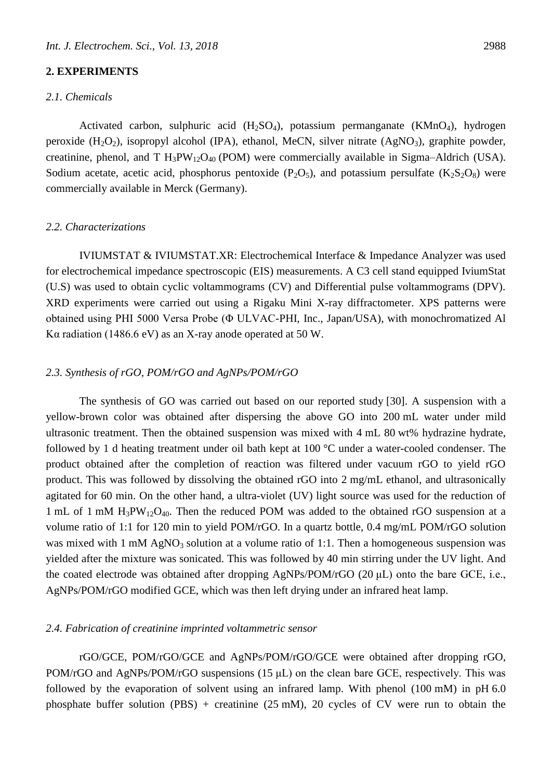## **2. EXPERIMENTS**

## *2.1. Chemicals*

Activated carbon, sulphuric acid  $(H_2SO_4)$ , potassium permanganate  $(KMnO_4)$ , hydrogen peroxide  $(H_2O_2)$ , isopropyl alcohol (IPA), ethanol, MeCN, silver nitrate  $(AgNO_3)$ , graphite powder, creatinine, phenol, and T  $H_3PW_{12}O_{40}$  (POM) were commercially available in Sigma–Aldrich (USA). Sodium acetate, acetic acid, phosphorus pentoxide ( $P_2O_5$ ), and potassium persulfate ( $K_2S_2O_8$ ) were commercially available in Merck (Germany).

#### *2.2. Characterizations*

IVIUMSTAT & IVIUMSTAT.XR: Electrochemical Interface & Impedance Analyzer was used for electrochemical impedance spectroscopic (EIS) measurements. A C3 cell stand equipped IviumStat (U.S) was used to obtain cyclic voltammograms (CV) and Differential pulse voltammograms (DPV). XRD experiments were carried out using a Rigaku Mini X-ray diffractometer. XPS patterns were obtained using PHI 5000 Versa Probe (Φ ULVAC-PHI, Inc., Japan/USA), with monochromatized Al Kα radiation (1486.6 eV) as an X-ray anode operated at 50 W.

# *2.3. Synthesis of rGO, POM/rGO and AgNPs/POM/rGO*

The synthesis of GO was carried out based on our reported study [30]. A suspension with a yellow-brown color was obtained after dispersing the above GO into 200 mL water under mild ultrasonic treatment. Then the obtained suspension was mixed with 4 mL 80 wt% hydrazine hydrate, followed by 1 d heating treatment under oil bath kept at 100 °C under a water-cooled condenser. The product obtained after the completion of reaction was filtered under vacuum rGO to yield rGO product. This was followed by dissolving the obtained rGO into 2 mg/mL ethanol, and ultrasonically agitated for 60 min. On the other hand, a ultra-violet (UV) light source was used for the reduction of 1 mL of 1 mM  $H_3PW_{12}O_{40}$ . Then the reduced POM was added to the obtained rGO suspension at a volume ratio of 1:1 for 120 min to yield POM/rGO. In a quartz bottle, 0.4 mg/mL POM/rGO solution was mixed with 1 mM  $AgNO<sub>3</sub>$  solution at a volume ratio of 1:1. Then a homogeneous suspension was yielded after the mixture was sonicated. This was followed by 40 min stirring under the UV light. And the coated electrode was obtained after dropping AgNPs/POM/rGO (20 μL) onto the bare GCE, i.e., AgNPs/POM/rGO modified GCE, which was then left drying under an infrared heat lamp.

### *2.4. Fabrication of creatinine imprinted voltammetric sensor*

rGO/GCE, POM/rGO/GCE and AgNPs/POM/rGO/GCE were obtained after dropping rGO, POM/rGO and AgNPs/POM/rGO suspensions  $(15 \mu L)$  on the clean bare GCE, respectively. This was followed by the evaporation of solvent using an infrared lamp. With phenol (100 mM) in pH 6.0 phosphate buffer solution (PBS) + creatinine (25 mM), 20 cycles of CV were run to obtain the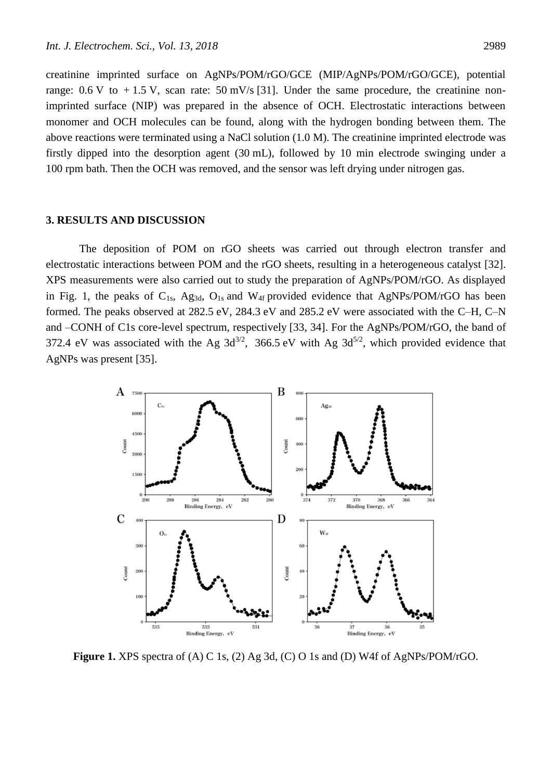creatinine imprinted surface on AgNPs/POM/rGO/GCE (MIP/AgNPs/POM/rGO/GCE), potential range:  $0.6 \text{ V}$  to  $+1.5 \text{ V}$ , scan rate:  $50 \text{ mV/s}$  [31]. Under the same procedure, the creatinine nonimprinted surface (NIP) was prepared in the absence of OCH. Electrostatic interactions between monomer and OCH molecules can be found, along with the hydrogen bonding between them. The above reactions were terminated using a NaCl solution (1.0 M). The creatinine imprinted electrode was firstly dipped into the desorption agent (30 mL), followed by 10 min electrode swinging under a 100 rpm bath. Then the OCH was removed, and the sensor was left drying under nitrogen gas.

#### **3. RESULTS AND DISCUSSION**

The deposition of POM on rGO sheets was carried out through electron transfer and electrostatic interactions between POM and the rGO sheets, resulting in a heterogeneous catalyst [32]. XPS measurements were also carried out to study the preparation of AgNPs/POM/rGO. As displayed in Fig. 1, the peaks of  $C_{1s}$ , Ag<sub>3d</sub>, O<sub>1s</sub> and W<sub>4f</sub> provided evidence that AgNPs/POM/rGO has been formed. The peaks observed at 282.5 eV, 284.3 eV and 285.2 eV were associated with the C–H, C–N and –CONH of C1s core-level spectrum, respectively [33, 34]. For the AgNPs/POM/rGO, the band of 372.4 eV was associated with the Ag  $3d^{3/2}$ , 366.5 eV with Ag  $3d^{5/2}$ , which provided evidence that AgNPs was present [35].



**Figure 1.** XPS spectra of (A) C 1s, (2) Ag 3d, (C) O 1s and (D) W4f of AgNPs/POM/rGO.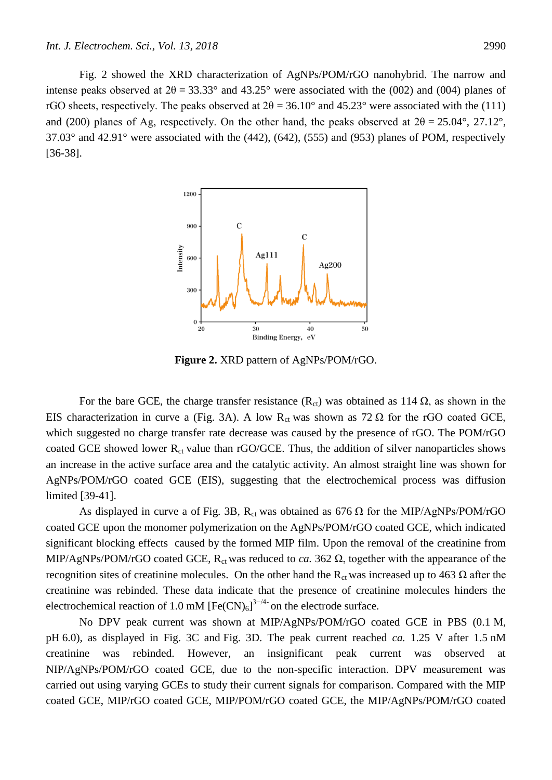Fig. 2 showed the XRD characterization of AgNPs/POM/rGO nanohybrid. The narrow and intense peaks observed at  $2\theta = 33.33^{\circ}$  and  $43.25^{\circ}$  were associated with the (002) and (004) planes of rGO sheets, respectively. The peaks observed at  $2\theta = 36.10^{\circ}$  and  $45.23^{\circ}$  were associated with the (111) and (200) planes of Ag, respectively. On the other hand, the peaks observed at  $2\theta = 25.04^{\circ}$ , 27.12°,  $37.03^{\circ}$  and  $42.91^{\circ}$  were associated with the (442), (642), (555) and (953) planes of POM, respectively [36-38].



**Figure 2.** XRD pattern of AgNPs/POM/rGO.

For the bare GCE, the charge transfer resistance  $(R<sub>ct</sub>)$  was obtained as 114  $\Omega$ , as shown in the EIS characterization in curve a (Fig. 3A). A low R<sub>ct</sub> was shown as 72  $\Omega$  for the rGO coated GCE, which suggested no charge transfer rate decrease was caused by the presence of rGO. The POM/rGO coated GCE showed lower  $R_{ct}$  value than rGO/GCE. Thus, the addition of silver nanoparticles shows an increase in the active surface area and the catalytic activity. An almost straight line was shown for AgNPs/POM/rGO coated GCE (EIS), suggesting that the electrochemical process was diffusion limited [39-41].

As displayed in curve a of Fig. 3B,  $R_{ct}$  was obtained as 676  $\Omega$  for the MIP/AgNPs/POM/rGO coated GCE upon the monomer polymerization on the AgNPs/POM/rGO coated GCE, which indicated significant blocking effects caused by the formed MIP film. Upon the removal of the creatinine from MIP/AgNPs/POM/rGO coated GCE,  $R_{ct}$  was reduced to *ca*. 362  $\Omega$ , together with the appearance of the recognition sites of creatinine molecules. On the other hand the R<sub>ct</sub> was increased up to 463  $\Omega$  after the creatinine was rebinded. These data indicate that the presence of creatinine molecules hinders the electrochemical reaction of 1.0 mM  $[Fe(CN)<sub>6</sub>]$ <sup>3-/4-</sup> on the electrode surface.

No DPV peak current was shown at MIP/AgNPs/POM/rGO coated GCE in PBS (0.1 M, pH 6.0), as displayed in Fig. 3C and Fig. 3D. The peak current reached *ca.* 1.25 V after 1.5 nM creatinine was rebinded. However, an insignificant peak current was observed at NIP/AgNPs/POM/rGO coated GCE, due to the non-specific interaction. DPV measurement was carried out using varying GCEs to study their current signals for comparison. Compared with the MIP coated GCE, MIP/rGO coated GCE, MIP/POM/rGO coated GCE, the MIP/AgNPs/POM/rGO coated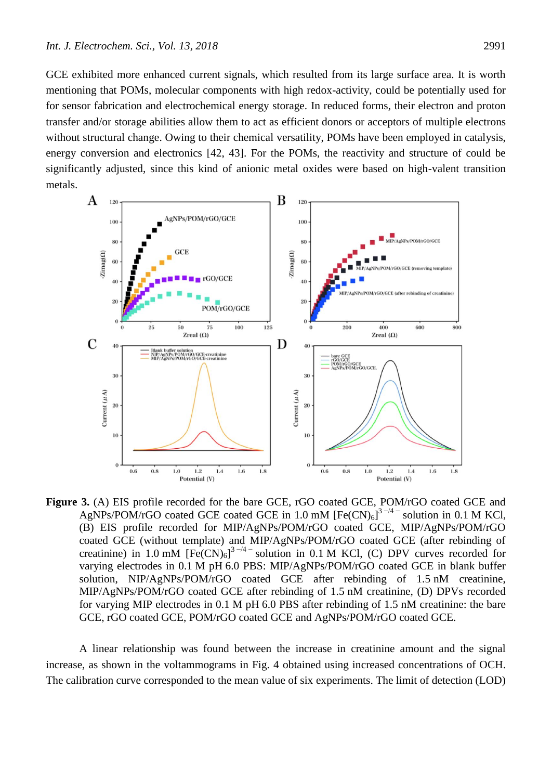GCE exhibited more enhanced current signals, which resulted from its large surface area. It is worth mentioning that POMs, molecular components with high redox-activity, could be potentially used for for sensor fabrication and electrochemical energy storage. In reduced forms, their electron and proton transfer and/or storage abilities allow them to act as efficient donors or acceptors of multiple electrons without structural change. Owing to their chemical versatility, POMs have been employed in catalysis, energy conversion and electronics [42, 43]. For the POMs, the reactivity and structure of could be significantly adjusted, since this kind of anionic metal oxides were based on high-valent transition metals.



Figure 3. (A) EIS profile recorded for the bare GCE, rGO coated GCE, POM/rGO coated GCE and AgNPs/POM/rGO coated GCE coated GCE in 1.0 mM  $[Fe(CN)_6]^{3-/4-}$  solution in 0.1 M KCl, (B) EIS profile recorded for MIP/AgNPs/POM/rGO coated GCE, MIP/AgNPs/POM/rGO coated GCE (without template) and MIP/AgNPs/POM/rGO coated GCE (after rebinding of creatinine) in 1.0 mM  $[Fe(CN)_6]^{3-4}$  solution in 0.1 M KCl, (C) DPV curves recorded for varying electrodes in 0.1 M pH 6.0 PBS: MIP/AgNPs/POM/rGO coated GCE in blank buffer solution, NIP/AgNPs/POM/rGO coated GCE after rebinding of 1.5 nM creatinine, MIP/AgNPs/POM/rGO coated GCE after rebinding of 1.5 nM creatinine, (D) DPVs recorded for varying MIP electrodes in 0.1 M pH 6.0 PBS after rebinding of 1.5 nM creatinine: the bare GCE, rGO coated GCE, POM/rGO coated GCE and AgNPs/POM/rGO coated GCE.

A linear relationship was found between the increase in creatinine amount and the signal increase, as shown in the voltammograms in Fig. 4 obtained using increased concentrations of OCH. The calibration curve corresponded to the mean value of six experiments. The limit of detection (LOD)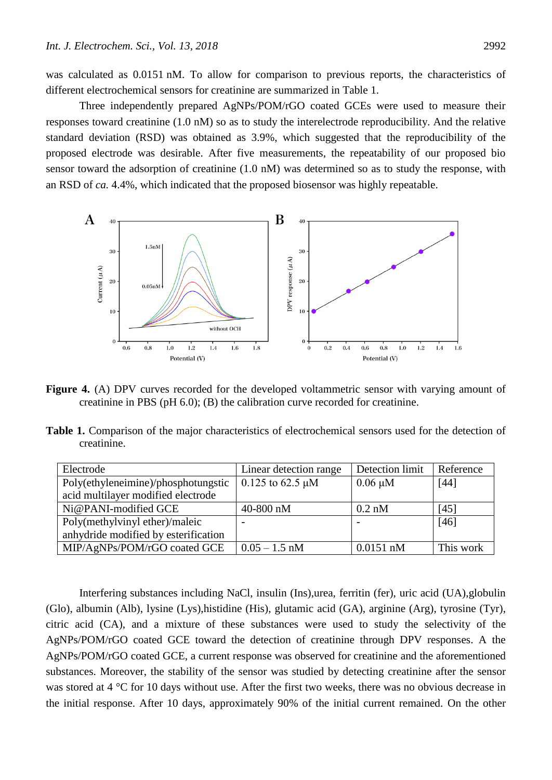was calculated as 0.0151 nM. To allow for comparison to previous reports, the characteristics of different electrochemical sensors for creatinine are summarized in Table 1.

Three independently prepared AgNPs/POM/rGO coated GCEs were used to measure their responses toward creatinine (1.0 nM) so as to study the interelectrode reproducibility. And the relative standard deviation (RSD) was obtained as 3.9%, which suggested that the reproducibility of the proposed electrode was desirable. After five measurements, the repeatability of our proposed bio sensor toward the adsorption of creatinine (1.0 nM) was determined so as to study the response, with an RSD of *ca.* 4.4%, which indicated that the proposed biosensor was highly repeatable.



Figure 4. (A) DPV curves recorded for the developed voltammetric sensor with varying amount of creatinine in PBS (pH 6.0); (B) the calibration curve recorded for creatinine.

**Table 1.** Comparison of the major characteristics of electrochemical sensors used for the detection of creatinine.

| Electrode                            | Linear detection range | Detection limit | Reference |
|--------------------------------------|------------------------|-----------------|-----------|
| Poly(ethyleneimine)/phosphotungstic  | $0.125$ to 62.5 µM     | $0.06 \mu M$    | $[44]$    |
| acid multilayer modified electrode   |                        |                 |           |
| Ni@PANI-modified GCE                 | 40-800 nM              | $0.2$ nM        | [45]      |
| Poly(methylvinyl ether)/maleic       |                        |                 | $[46]$    |
| anhydride modified by esterification |                        |                 |           |
| MIP/AgNPs/POM/rGO coated GCE         | $0.05 - 1.5$ nM        | $0.0151$ nM     | This work |

Interfering substances including NaCl, insulin (Ins),urea, ferritin (fer), uric acid (UA),globulin (Glo), albumin (Alb), lysine (Lys),histidine (His), glutamic acid (GA), arginine (Arg), tyrosine (Tyr), citric acid (CA), and a mixture of these substances were used to study the selectivity of the AgNPs/POM/rGO coated GCE toward the detection of creatinine through DPV responses. A the AgNPs/POM/rGO coated GCE, a current response was observed for creatinine and the aforementioned substances. Moreover, the stability of the sensor was studied by detecting creatinine after the sensor was stored at 4 °C for 10 days without use. After the first two weeks, there was no obvious decrease in the initial response. After 10 days, approximately 90% of the initial current remained. On the other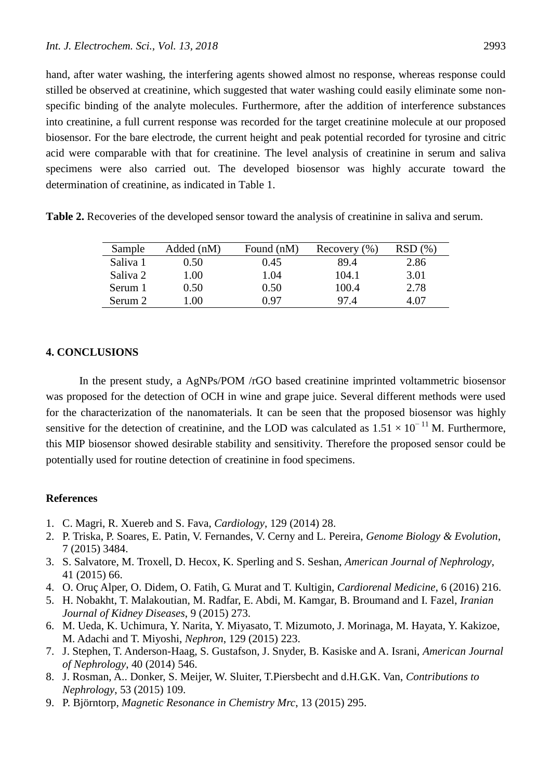hand, after water washing, the interfering agents showed almost no response, whereas response could stilled be observed at creatinine, which suggested that water washing could easily eliminate some nonspecific binding of the analyte molecules. Furthermore, after the addition of interference substances into creatinine, a full current response was recorded for the target creatinine molecule at our proposed biosensor. For the bare electrode, the current height and peak potential recorded for tyrosine and citric acid were comparable with that for creatinine. The level analysis of creatinine in serum and saliva specimens were also carried out. The developed biosensor was highly accurate toward the determination of creatinine, as indicated in Table 1.

**Table 2.** Recoveries of the developed sensor toward the analysis of creatinine in saliva and serum.

| Sample   | Added (nM) | Found (nM) | Recovery $(\% )$ | (96) |
|----------|------------|------------|------------------|------|
| Saliva 1 | 0.50       | 0.45       | 89.4             | 2.86 |
| Saliva 2 | 1.00       | 1.04       | 104.1            | 3.01 |
| Serum 1  | 0.50       | 0.50       | 100.4            | 2.78 |
| Serum 2  | .00        | በ 97       | 97.4             | 4.07 |

# **4. CONCLUSIONS**

In the present study, a AgNPs/POM /rGO based creatinine imprinted voltammetric biosensor was proposed for the detection of OCH in wine and grape juice. Several different methods were used for the characterization of the nanomaterials. It can be seen that the proposed biosensor was highly sensitive for the detection of creatinine, and the LOD was calculated as  $1.51 \times 10^{-11}$  M. Furthermore, this MIP biosensor showed desirable stability and sensitivity. Therefore the proposed sensor could be potentially used for routine detection of creatinine in food specimens.

## **References**

- 1. C. Magri, R. Xuereb and S. Fava, *Cardiology*, 129 (2014) 28.
- 2. P. Triska, P. Soares, E. Patin, V. Fernandes, V. Cerny and L. Pereira, *Genome Biology & Evolution*, 7 (2015) 3484.
- 3. S. Salvatore, M. Troxell, D. Hecox, K. Sperling and S. Seshan, *American Journal of Nephrology*, 41 (2015) 66.
- 4. O. Oruç Alper, O. Didem, O. Fatih, G. Murat and T. Kultigin, *Cardiorenal Medicine*, 6 (2016) 216.
- 5. H. Nobakht, T. Malakoutian, M. Radfar, E. Abdi, M. Kamgar, B. Broumand and I. Fazel, *Iranian Journal of Kidney Diseases*, 9 (2015) 273.
- 6. M. Ueda, K. Uchimura, Y. Narita, Y. Miyasato, T. Mizumoto, J. Morinaga, M. Hayata, Y. Kakizoe, M. Adachi and T. Miyoshi, *Nephron*, 129 (2015) 223.
- 7. J. Stephen, T. Anderson-Haag, S. Gustafson, J. Snyder, B. Kasiske and A. Israni, *American Journal of Nephrology*, 40 (2014) 546.
- 8. J. Rosman, A.. Donker, S. Meijer, W. Sluiter, T.Piersbecht and d.H.G.K. Van, *Contributions to Nephrology*, 53 (2015) 109.
- 9. P. Björntorp, *Magnetic Resonance in Chemistry Mrc*, 13 (2015) 295.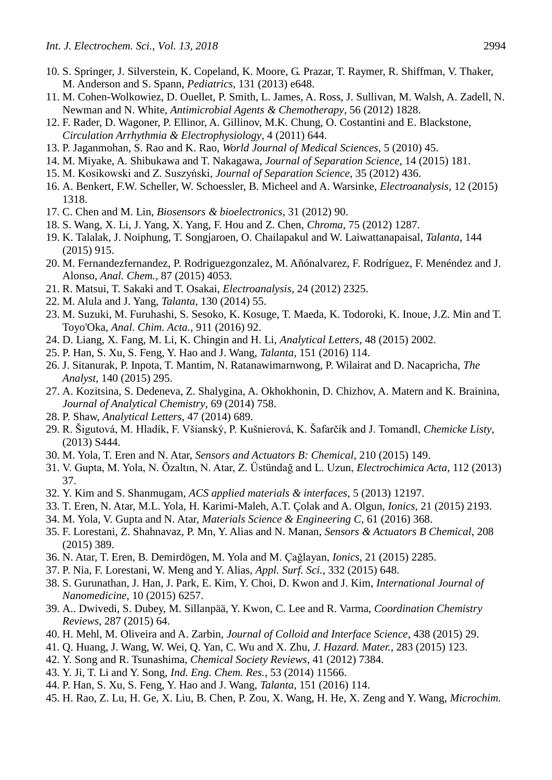- 10. S. Springer, J. Silverstein, K. Copeland, K. Moore, G. Prazar, T. Raymer, R. Shiffman, V. Thaker, M. Anderson and S. Spann, *Pediatrics*, 131 (2013) e648.
- 11. M. Cohen-Wolkowiez, D. Ouellet, P. Smith, L. James, A. Ross, J. Sullivan, M. Walsh, A. Zadell, N. Newman and N. White, *Antimicrobial Agents & Chemotherapy*, 56 (2012) 1828.
- 12. F. Rader, D. Wagoner, P. Ellinor, A. Gillinov, M.K. Chung, O. Costantini and E. Blackstone, *Circulation Arrhythmia & Electrophysiology*, 4 (2011) 644.
- 13. P. Jaganmohan, S. Rao and K. Rao, *World Journal of Medical Sciences*, 5 (2010) 45.
- 14. M. Miyake, A. Shibukawa and T. Nakagawa, *Journal of Separation Science*, 14 (2015) 181.
- 15. M. Kosikowski and Z. Suszyński, *Journal of Separation Science*, 35 (2012) 436.
- 16. A. Benkert, F.W. Scheller, W. Schoessler, B. Micheel and A. Warsinke, *Electroanalysis*, 12 (2015) 1318.
- 17. C. Chen and M. Lin, *Biosensors & bioelectronics*, 31 (2012) 90.
- 18. S. Wang, X. Li, J. Yang, X. Yang, F. Hou and Z. Chen, *Chroma*, 75 (2012) 1287.
- 19. K. Talalak, J. Noiphung, T. Songjaroen, O. Chailapakul and W. Laiwattanapaisal, *Talanta*, 144 (2015) 915.
- 20. M. Fernandezfernandez, P. Rodriguezgonzalez, M. Añónalvarez, F. Rodríguez, F. Menéndez and J. Alonso, *Anal. Chem.*, 87 (2015) 4053.
- 21. R. Matsui, T. Sakaki and T. Osakai, *Electroanalysis*, 24 (2012) 2325.
- 22. M. Alula and J. Yang, *Talanta*, 130 (2014) 55.
- 23. M. Suzuki, M. Furuhashi, S. Sesoko, K. Kosuge, T. Maeda, K. Todoroki, K. Inoue, J.Z. Min and T. Toyo'Oka, *Anal. Chim. Acta.*, 911 (2016) 92.
- 24. D. Liang, X. Fang, M. Li, K. Chingin and H. Li, *Analytical Letters*, 48 (2015) 2002.
- 25. P. Han, S. Xu, S. Feng, Y. Hao and J. Wang, *Talanta*, 151 (2016) 114.
- 26. J. Sitanurak, P. Inpota, T. Mantim, N. Ratanawimarnwong, P. Wilairat and D. Nacapricha, *The Analyst*, 140 (2015) 295.
- 27. A. Kozitsina, S. Dedeneva, Z. Shalygina, A. Okhokhonin, D. Chizhov, A. Matern and K. Brainina, *Journal of Analytical Chemistry*, 69 (2014) 758.
- 28. P. Shaw, *Analytical Letters*, 47 (2014) 689.
- 29. R. Šigutová, M. Hladík, F. Všianský, P. Kušnierová, K. Šafarčík and J. Tomandl, *Chemicke Listy*, (2013) S444.
- 30. M. Yola, T. Eren and N. Atar, *Sensors and Actuators B: Chemical*, 210 (2015) 149.
- 31. V. Gupta, M. Yola, N. Özaltın, N. Atar, Z. Üstündağ and L. Uzun, *Electrochimica Acta*, 112 (2013) 37.
- 32. Y. Kim and S. Shanmugam, *ACS applied materials & interfaces*, 5 (2013) 12197.
- 33. T. Eren, N. Atar, M.L. Yola, H. Karimi-Maleh, A.T. Çolak and A. Olgun, *Ionics*, 21 (2015) 2193.
- 34. M. Yola, V. Gupta and N. Atar, *Materials Science & Engineering C*, 61 (2016) 368.
- 35. F. Lorestani, Z. Shahnavaz, P. Mn, Y. Alias and N. Manan, *Sensors & Actuators B Chemical*, 208 (2015) 389.
- 36. N. Atar, T. Eren, B. Demirdögen, M. Yola and M. Çağlayan, *Ionics*, 21 (2015) 2285.
- 37. P. Nia, F. Lorestani, W. Meng and Y. Alias, *Appl. Surf. Sci.*, 332 (2015) 648.
- 38. S. Gurunathan, J. Han, J. Park, E. Kim, Y. Choi, D. Kwon and J. Kim, *International Journal of Nanomedicine*, 10 (2015) 6257.
- 39. A.. Dwivedi, S. Dubey, M. Sillanpää, Y. Kwon, C. Lee and R. Varma, *Coordination Chemistry Reviews*, 287 (2015) 64.
- 40. H. Mehl, M. Oliveira and A. Zarbin, *Journal of Colloid and Interface Science*, 438 (2015) 29.
- 41. Q. Huang, J. Wang, W. Wei, Q. Yan, C. Wu and X. Zhu, *J. Hazard. Mater.*, 283 (2015) 123.
- 42. Y. Song and R. Tsunashima, *Chemical Society Reviews*, 41 (2012) 7384.
- 43. Y. Ji, T. Li and Y. Song, *Ind. Eng. Chem. Res.*, 53 (2014) 11566.
- 44. P. Han, S. Xu, S. Feng, Y. Hao and J. Wang, *Talanta*, 151 (2016) 114.
- 45. H. Rao, Z. Lu, H. Ge, X. Liu, B. Chen, P. Zou, X. Wang, H. He, X. Zeng and Y. Wang, *Microchim.*